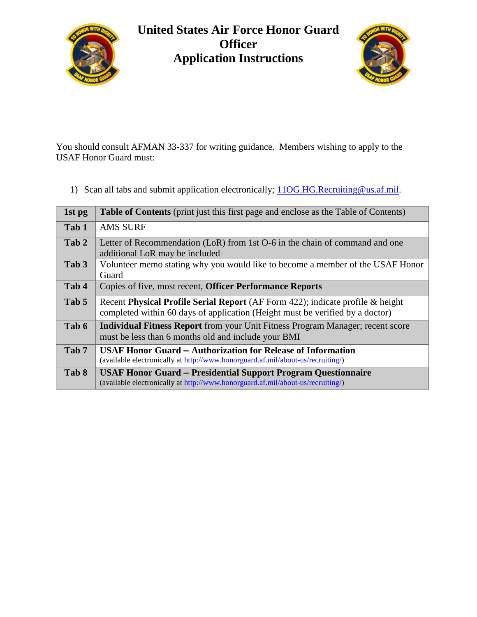

## **United States Air Force Honor Guard Officer Application Instructions**



You should consult AFMAN 33-337 for writing guidance. Members wishing to apply to the USAF Honor Guard must:

1) Scan all tabs and submit application electronically;  $110G.HG.Recruiting@us.af.mil.$ 

| 1st pg           | <b>Table of Contents</b> (print just this first page and enclose as the Table of Contents)                                                                      |
|------------------|-----------------------------------------------------------------------------------------------------------------------------------------------------------------|
| Tab 1            | <b>AMS SURF</b>                                                                                                                                                 |
| Tab 2            | Letter of Recommendation (LoR) from 1st O-6 in the chain of command and one<br>additional LoR may be included                                                   |
| Tab 3            | Volunteer memo stating why you would like to become a member of the USAF Honor<br>Guard                                                                         |
| Tab 4            | Copies of five, most recent, Officer Performance Reports                                                                                                        |
| Tab 5            | Recent Physical Profile Serial Report (AF Form 422); indicate profile & height<br>completed within 60 days of application (Height must be verified by a doctor) |
| Tab 6            | <b>Individual Fitness Report</b> from your Unit Fitness Program Manager; recent score<br>must be less than 6 months old and include your BMI                    |
| Tab <sub>7</sub> | <b>USAF Honor Guard – Authorization for Release of Information</b><br>(available electronically at http://www.honorguard.af.mil/about-us/recruiting/)           |
| Tab 8            | <b>USAF Honor Guard - Presidential Support Program Questionnaire</b><br>(available electronically at http://www.honorguard.af.mil/about-us/recruiting/)         |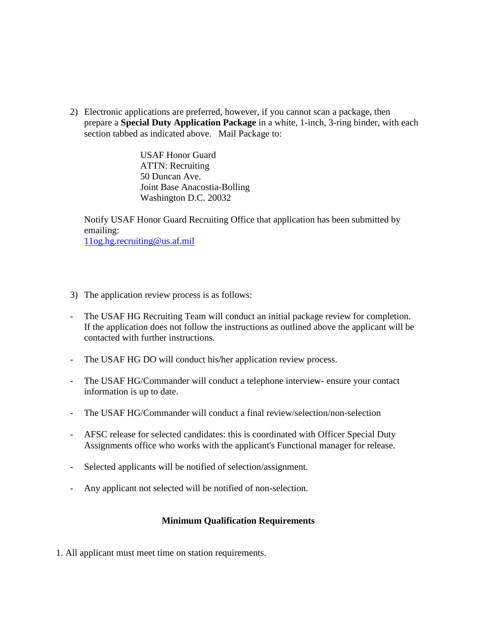2) Electronic applications are preferred, however, if you cannot scan a package, then prepare a **Special Duty Application Package** in a white, 1-inch, 3-ring binder, with each section tabbed as indicated above. Mail Package to:

> USAF Honor Guard ATTN: Recruiting 50 Duncan Ave. Joint Base Anacostia-Bolling Washington D.C. 20032

Notify USAF Honor Guard Recruiting Office that application has been submitted by emailing: [11og.hg.recruiting@us.af.mil](mailto:11og.hg.recruiting@us.af.mil)

- 3) The application review process is as follows:
- The USAF HG Recruiting Team will conduct an initial package review for completion. If the application does not follow the instructions as outlined above the applicant will be contacted with further instructions.
- The USAF HG DO will conduct his/her application review process.
- The USAF HG/Commander will conduct a telephone interview- ensure your contact information is up to date.
- The USAF HG/Commander will conduct a final review/selection/non-selection
- AFSC release for selected candidates: this is coordinated with Officer Special Duty Assignments office who works with the applicant's Functional manager for release.
- Selected applicants will be notified of selection/assignment.
- Any applicant not selected will be notified of non-selection.

## **Minimum Qualification Requirements**

1. All applicant must meet time on station requirements.